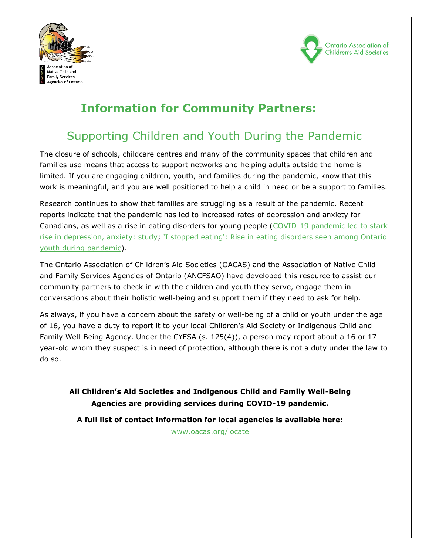



# **Information for Community Partners:**

# Supporting Children and Youth During the Pandemic

The closure of schools, childcare centres and many of the community spaces that children and families use means that access to support networks and helping adults outside the home is limited. If you are engaging children, youth, and families during the pandemic, know that this work is meaningful, and you are well positioned to help a child in need or be a support to families.

Research continues to show that families are struggling as a result of the pandemic. Recent reports indicate that the pandemic has led to increased rates of depression and anxiety for Canadians, as well as a rise in eating disorders for young people (COVID-19 pandemic led to stark [rise in depression, anxiety: study;](https://www.ctvnews.ca/health/coronavirus/covid-19-pandemic-led-to-stark-rise-in-depression-anxiety-study-1.5617832) ['I stopped eating': Rise in eating disorders seen among Ontario](https://www.cbc.ca/news/canada/toronto/eating-disorders-youth-mental-health-covid-pandemic-1.6280815)  [youth during pandemic\)](https://www.cbc.ca/news/canada/toronto/eating-disorders-youth-mental-health-covid-pandemic-1.6280815).

The Ontario Association of Children's Aid Societies (OACAS) and the Association of Native Child and Family Services Agencies of Ontario (ANCFSAO) have developed this resource to assist our community partners to check in with the children and youth they serve, engage them in conversations about their holistic well-being and support them if they need to ask for help.

As always, if you have a concern about the safety or well-being of a child or youth under the age of 16, you have a duty to report it to your local Children's Aid Society or Indigenous Child and Family Well-Being Agency. Under the CYFSA (s. 125(4)), a person may report about a 16 or 17 year-old whom they suspect is in need of protection, although there is not a duty under the law to do so.

**All Children's Aid Societies and Indigenous Child and Family Well-Being Agencies are providing services during COVID-19 pandemic.** 

**A full list of contact information for local agencies is available here:** 

[www.oacas.org/locate](http://www.oacas.org/locate)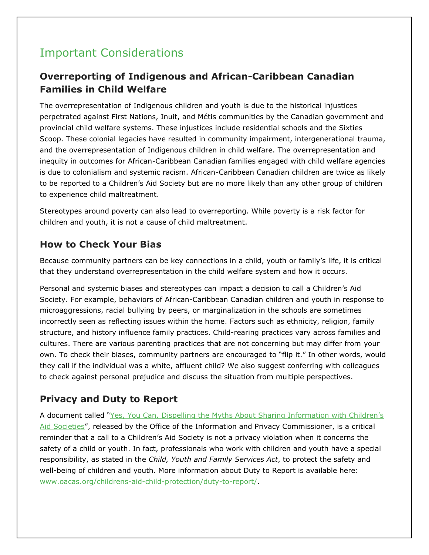# Important Considerations

## **Overreporting of Indigenous and African-Caribbean Canadian Families in Child Welfare**

The overrepresentation of Indigenous children and youth is due to the historical injustices perpetrated against First Nations, Inuit, and Métis communities by the Canadian government and provincial child welfare systems. These injustices include residential schools and the Sixties Scoop. These colonial legacies have resulted in community impairment, intergenerational trauma, and the overrepresentation of Indigenous children in child welfare. The overrepresentation and inequity in outcomes for African-Caribbean Canadian families engaged with child welfare agencies is due to colonialism and systemic racism. African-Caribbean Canadian children are twice as likely to be reported to a Children's Aid Society but are no more likely than any other group of children to experience child maltreatment.

Stereotypes around poverty can also lead to overreporting. While poverty is a risk factor for children and youth, it is not a cause of child maltreatment.

### **How to Check Your Bias**

Because community partners can be key connections in a child, youth or family's life, it is critical that they understand overrepresentation in the child welfare system and how it occurs.

Personal and systemic biases and stereotypes can impact a decision to call a Children's Aid Society. For example, behaviors of African-Caribbean Canadian children and youth in response to microaggressions, racial bullying by peers, or marginalization in the schools are sometimes incorrectly seen as reflecting issues within the home. Factors such as ethnicity, religion, family structure, and history influence family practices. Child-rearing practices vary across families and cultures. There are various parenting practices that are not concerning but may differ from your own. To check their biases, community partners are encouraged to "flip it." In other words, would they call if the individual was a white, affluent child? We also suggest conferring with colleagues to check against personal prejudice and discuss the situation from multiple perspectives.

## **Privacy and Duty to Report**

A document called ["Yes, You Can. Dispelling the Myths About Sharing Information with Children's](https://www.ipc.on.ca/wp-content/uploads/2016/01/yes-you-can-web.pdf)  [Aid Societies](https://www.ipc.on.ca/wp-content/uploads/2016/01/yes-you-can-web.pdf)", released by the Office of the Information and Privacy Commissioner, is a critical reminder that a call to a Children's Aid Society is not a privacy violation when it concerns the safety of a child or youth. In fact, professionals who work with children and youth have a special responsibility, as stated in the *Child, Youth and Family Services Act*, to protect the safety and well-being of children and youth. More information about Duty to Report is available here: [www.oacas.org/childrens-aid-child-protection/duty-to-report/.](http://www.oacas.org/childrens-aid-child-protection/duty-to-report/)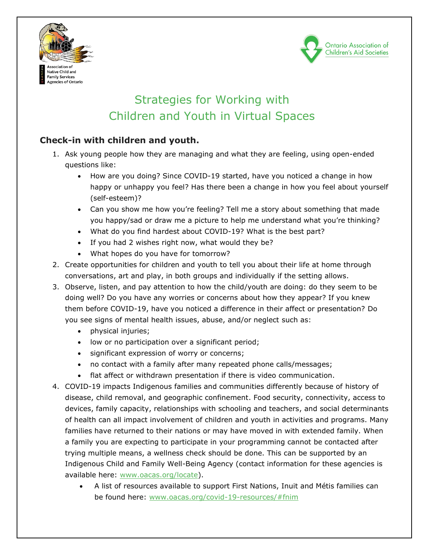



# Strategies for Working with Children and Youth in Virtual Spaces

### **Check-in with children and youth.**

- 1. Ask young people how they are managing and what they are feeling, using open-ended questions like:
	- How are you doing? Since COVID-19 started, have you noticed a change in how happy or unhappy you feel? Has there been a change in how you feel about yourself (self-esteem)?
	- Can you show me how you're feeling? Tell me a story about something that made you happy/sad or draw me a picture to help me understand what you're thinking?
	- What do you find hardest about COVID-19? What is the best part?
	- If you had 2 wishes right now, what would they be?
	- What hopes do you have for tomorrow?
- 2. Create opportunities for children and youth to tell you about their life at home through conversations, art and play, in both groups and individually if the setting allows.
- 3. Observe, listen, and pay attention to how the child/youth are doing: do they seem to be doing well? Do you have any worries or concerns about how they appear? If you knew them before COVID-19, have you noticed a difference in their affect or presentation? Do you see signs of mental health issues, abuse, and/or neglect such as:
	- physical injuries;
	- low or no participation over a significant period;
	- significant expression of worry or concerns;
	- no contact with a family after many repeated phone calls/messages;
	- flat affect or withdrawn presentation if there is video communication.
- 4. COVID-19 impacts Indigenous families and communities differently because of history of disease, child removal, and geographic confinement. Food security, connectivity, access to devices, family capacity, relationships with schooling and teachers, and social determinants of health can all impact involvement of children and youth in activities and programs. Many families have returned to their nations or may have moved in with extended family. When a family you are expecting to participate in your programming cannot be contacted after trying multiple means, a wellness check should be done. This can be supported by an Indigenous Child and Family Well-Being Agency (contact information for these agencies is available here: [www.oacas.org/locate\)](http://www.oacas.org/locate).
	- A list of resources available to support First Nations, Inuit and Métis families can be found here: [www.oacas.org/covid-19-resources/#fnim](http://www.oacas.org/covid-19-resources/#fnim)